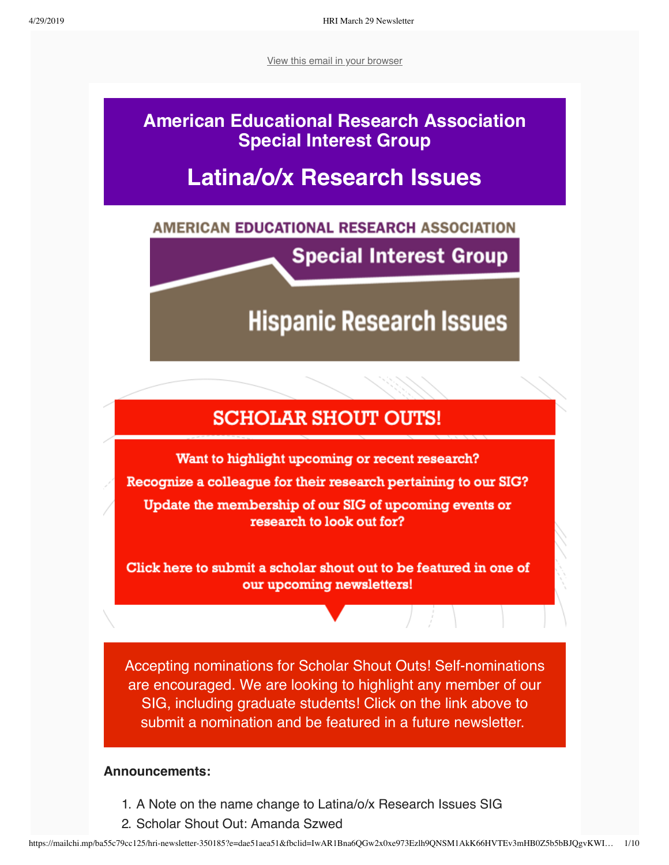[View this email in your browser](https://mailchi.mp/ba55c79cc125/hri-newsletter-350185?e=dae51aea51)

# **American Educational Research Association Special Interest Group**

# **Latina/o/x Research Issues**

# AMERICAN EDUCATIONAL RESEARCH ASSOCIATION

**Special Interest Group** 

**Hispanic Research Issues** 

# **SCHOLAR SHOUT OUTS!**

Want to highlight upcoming or recent research? Recognize a colleague for their research pertaining to our SIG? Update the membership of our SIG of upcoming events or research to look out for?

Click here to submit a scholar shout out to be featured in one of our upcoming newsletters!

Accepting nominations for Scholar Shout Outs! Self-nominations are encouraged. We are looking to highlight any member of our SIG, including graduate students! Click on the link above to submit a nomination and be featured in a future newsletter.

# **Announcements:**

- 1. A Note on the name change to Latina/o/x Research Issues SIG
- 2. Scholar Shout Out: Amanda Szwed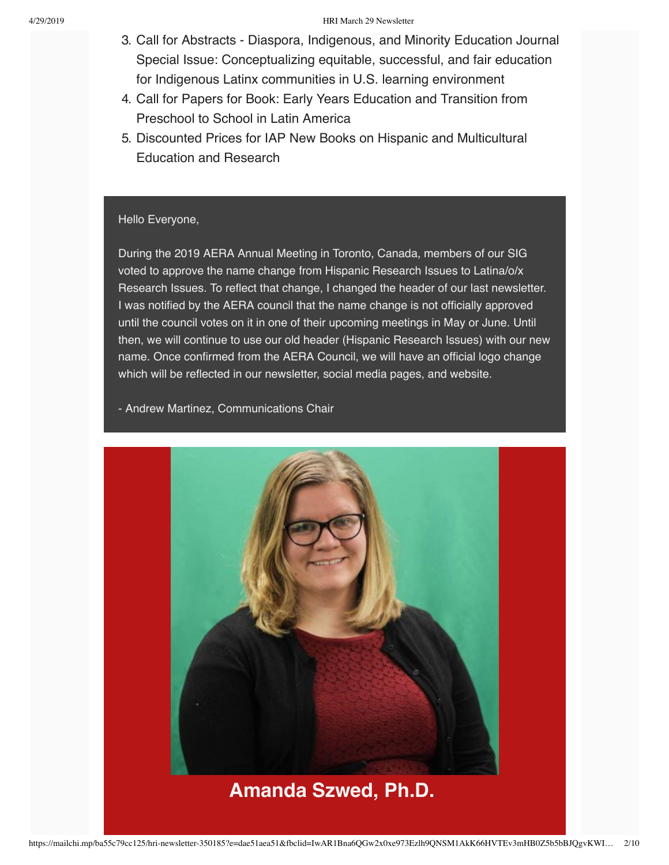- 3. Call for Abstracts Diaspora, Indigenous, and Minority Education Journal Special Issue: Conceptualizing equitable, successful, and fair education for Indigenous Latinx communities in U.S. learning environment
- 4. Call for Papers for Book: Early Years Education and Transition from Preschool to School in Latin America
- 5. Discounted Prices for IAP New Books on Hispanic and Multicultural Education and Research

## Hello Everyone,

During the 2019 AERA Annual Meeting in Toronto, Canada, members of our SIG voted to approve the name change from Hispanic Research Issues to Latina/o/x Research Issues. To reflect that change, I changed the header of our last newsletter. I was notified by the AERA council that the name change is not officially approved until the council votes on it in one of their upcoming meetings in May or June. Until then, we will continue to use our old header (Hispanic Research Issues) with our new name. Once confirmed from the AERA Council, we will have an official logo change which will be reflected in our newsletter, social media pages, and website.

- Andrew Martinez, Communications Chair

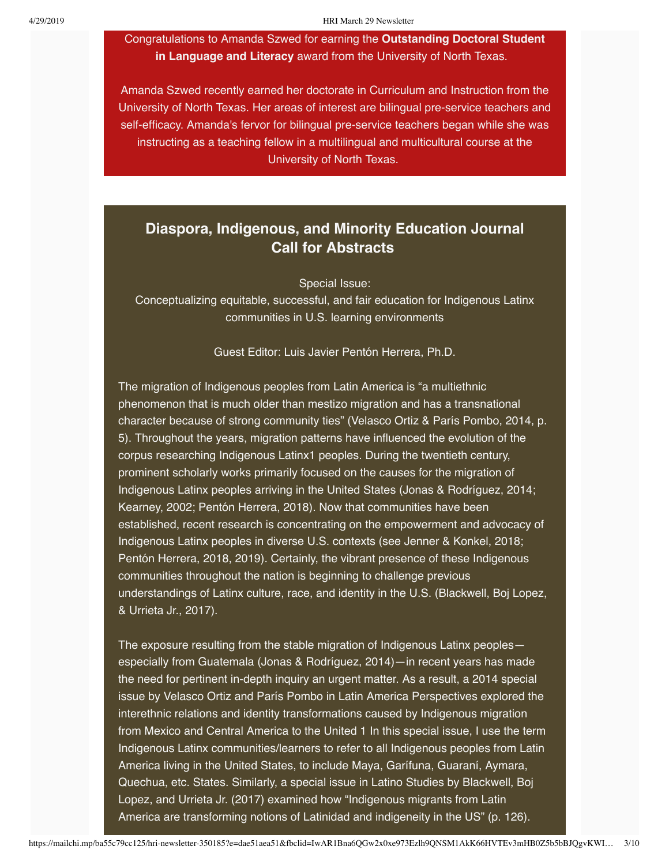Congratulations to Amanda Szwed for earning the **Outstanding Doctoral Student in Language and Literacy** award from the University of North Texas.

Amanda Szwed recently earned her doctorate in Curriculum and Instruction from the University of North Texas. Her areas of interest are bilingual pre-service teachers and self-efficacy. Amanda's fervor for bilingual pre-service teachers began while she was instructing as a teaching fellow in a multilingual and multicultural course at the University of North Texas.

# **Diaspora, Indigenous, and Minority Education Journal Call for Abstracts**

Special Issue:

Conceptualizing equitable, successful, and fair education for Indigenous Latinx communities in U.S. learning environments

Guest Editor: Luis Javier Pentón Herrera, Ph.D.

The migration of Indigenous peoples from Latin America is "a multiethnic phenomenon that is much older than mestizo migration and has a transnational character because of strong community ties" (Velasco Ortiz & París Pombo, 2014, p. 5). Throughout the years, migration patterns have influenced the evolution of the corpus researching Indigenous Latinx1 peoples. During the twentieth century, prominent scholarly works primarily focused on the causes for the migration of Indigenous Latinx peoples arriving in the United States (Jonas & Rodríguez, 2014; Kearney, 2002; Pentón Herrera, 2018). Now that communities have been established, recent research is concentrating on the empowerment and advocacy of Indigenous Latinx peoples in diverse U.S. contexts (see Jenner & Konkel, 2018; Pentón Herrera, 2018, 2019). Certainly, the vibrant presence of these Indigenous communities throughout the nation is beginning to challenge previous understandings of Latinx culture, race, and identity in the U.S. (Blackwell, Boj Lopez, & Urrieta Jr., 2017).

The exposure resulting from the stable migration of Indigenous Latinx peoples especially from Guatemala (Jonas & Rodríguez, 2014)—in recent years has made the need for pertinent in-depth inquiry an urgent matter. As a result, a 2014 special issue by Velasco Ortiz and París Pombo in Latin America Perspectives explored the interethnic relations and identity transformations caused by Indigenous migration from Mexico and Central America to the United 1 In this special issue, I use the term Indigenous Latinx communities/learners to refer to all Indigenous peoples from Latin America living in the United States, to include Maya, Garífuna, Guaraní, Aymara, Quechua, etc. States. Similarly, a special issue in Latino Studies by Blackwell, Boj Lopez, and Urrieta Jr. (2017) examined how "Indigenous migrants from Latin America are transforming notions of Latinidad and indigeneity in the US" (p. 126).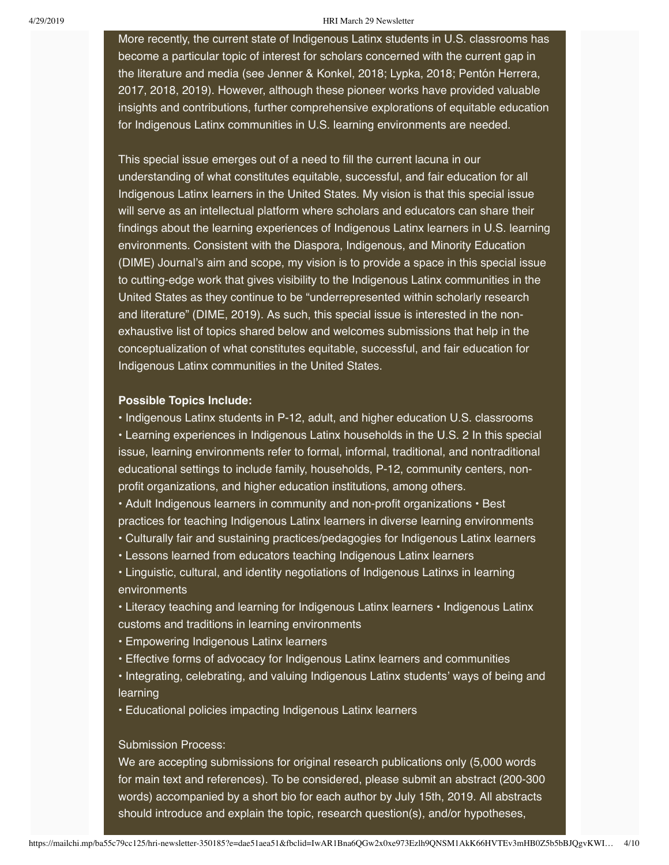More recently, the current state of Indigenous Latinx students in U.S. classrooms has become a particular topic of interest for scholars concerned with the current gap in the literature and media (see Jenner & Konkel, 2018; Lypka, 2018; Pentón Herrera, 2017, 2018, 2019). However, although these pioneer works have provided valuable insights and contributions, further comprehensive explorations of equitable education for Indigenous Latinx communities in U.S. learning environments are needed.

This special issue emerges out of a need to fill the current lacuna in our understanding of what constitutes equitable, successful, and fair education for all Indigenous Latinx learners in the United States. My vision is that this special issue will serve as an intellectual platform where scholars and educators can share their findings about the learning experiences of Indigenous Latinx learners in U.S. learning environments. Consistent with the Diaspora, Indigenous, and Minority Education (DIME) Journal's aim and scope, my vision is to provide a space in this special issue to cutting-edge work that gives visibility to the Indigenous Latinx communities in the United States as they continue to be "underrepresented within scholarly research and literature" (DIME, 2019). As such, this special issue is interested in the nonexhaustive list of topics shared below and welcomes submissions that help in the conceptualization of what constitutes equitable, successful, and fair education for Indigenous Latinx communities in the United States.

### **Possible Topics Include:**

• Indigenous Latinx students in P-12, adult, and higher education U.S. classrooms • Learning experiences in Indigenous Latinx households in the U.S. 2 In this special issue, learning environments refer to formal, informal, traditional, and nontraditional educational settings to include family, households, P-12, community centers, nonprofit organizations, and higher education institutions, among others.

• Adult Indigenous learners in community and non-profit organizations • Best practices for teaching Indigenous Latinx learners in diverse learning environments

- Culturally fair and sustaining practices/pedagogies for Indigenous Latinx learners
- Lessons learned from educators teaching Indigenous Latinx learners

• Linguistic, cultural, and identity negotiations of Indigenous Latinxs in learning environments

• Literacy teaching and learning for Indigenous Latinx learners • Indigenous Latinx customs and traditions in learning environments

• Empowering Indigenous Latinx learners

• Effective forms of advocacy for Indigenous Latinx learners and communities

• Integrating, celebrating, and valuing Indigenous Latinx students' ways of being and learning

• Educational policies impacting Indigenous Latinx learners

## Submission Process:

We are accepting submissions for original research publications only (5,000 words for main text and references). To be considered, please submit an abstract (200-300 words) accompanied by a short bio for each author by July 15th, 2019. All abstracts should introduce and explain the topic, research question(s), and/or hypotheses,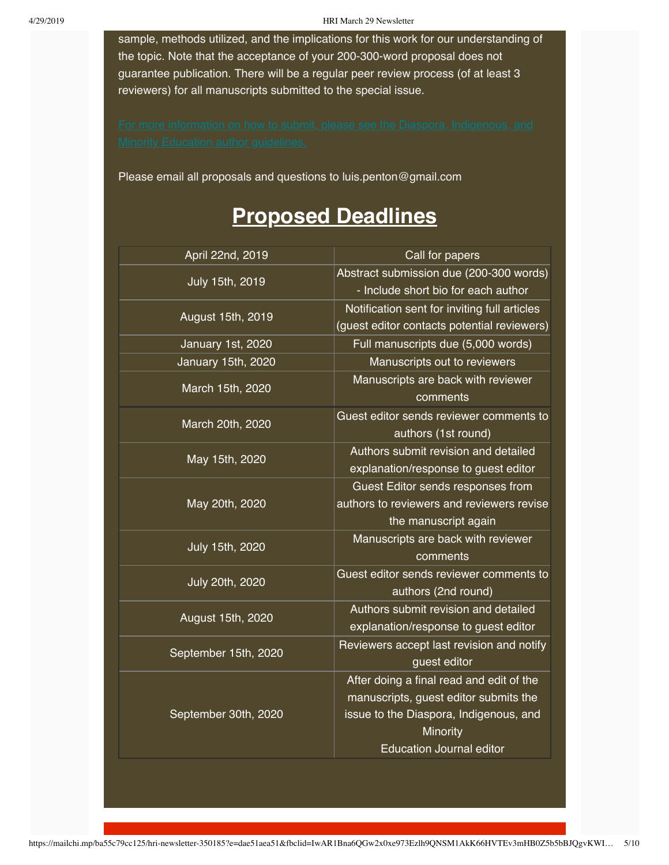sample, methods utilized, and the implications for this work for our understanding of the topic. Note that the acceptance of your 200-300-word proposal does not guarantee publication. There will be a regular peer review process (of at least 3 reviewers) for all manuscripts submitted to the special issue.

Please email all proposals and questions to luis.penton@gmail.com

# **Proposed Deadlines**

| April 22nd, 2019     | Call for papers                                                                |
|----------------------|--------------------------------------------------------------------------------|
| July 15th, 2019      | Abstract submission due (200-300 words)                                        |
|                      | - Include short bio for each author                                            |
| August 15th, 2019    | Notification sent for inviting full articles                                   |
|                      | (guest editor contacts potential reviewers)                                    |
| January 1st, 2020    | Full manuscripts due (5,000 words)                                             |
| January 15th, 2020   | Manuscripts out to reviewers                                                   |
| March 15th, 2020     | Manuscripts are back with reviewer                                             |
|                      | comments                                                                       |
| March 20th, 2020     | Guest editor sends reviewer comments to                                        |
| May 15th, 2020       | authors (1st round)                                                            |
|                      | Authors submit revision and detailed                                           |
|                      | explanation/response to guest editor                                           |
| May 20th, 2020       | Guest Editor sends responses from<br>authors to reviewers and reviewers revise |
|                      | the manuscript again                                                           |
| July 15th, 2020      | Manuscripts are back with reviewer                                             |
|                      | comments                                                                       |
| July 20th, 2020      | Guest editor sends reviewer comments to                                        |
|                      | authors (2nd round)                                                            |
| August 15th, 2020    | Authors submit revision and detailed                                           |
|                      | explanation/response to guest editor                                           |
| September 15th, 2020 | Reviewers accept last revision and notify                                      |
|                      | guest editor                                                                   |
| September 30th, 2020 | After doing a final read and edit of the                                       |
|                      | manuscripts, guest editor submits the                                          |
|                      | issue to the Diaspora, Indigenous, and                                         |
|                      | Minority                                                                       |
|                      | <b>Education Journal editor</b>                                                |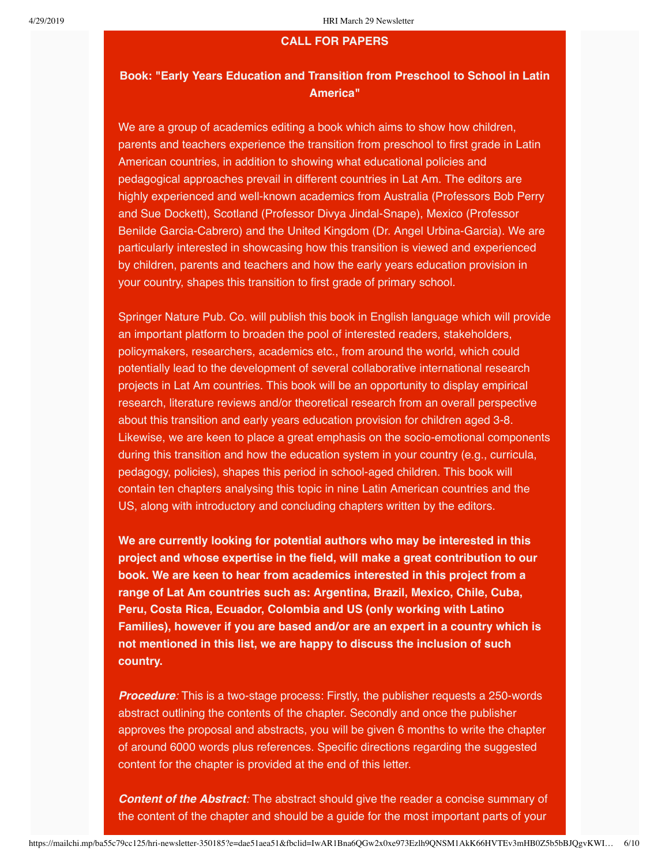### **CALL FOR PAPERS**

# **Book: "Early Years Education and Transition from Preschool to School in Latin America"**

We are a group of academics editing a book which aims to show how children, parents and teachers experience the transition from preschool to first grade in Latin American countries, in addition to showing what educational policies and pedagogical approaches prevail in different countries in Lat Am. The editors are highly experienced and well-known academics from Australia (Professors Bob Perry and Sue Dockett), Scotland (Professor Divya Jindal-Snape), Mexico (Professor Benilde Garcia-Cabrero) and the United Kingdom (Dr. Angel Urbina-Garcia). We are particularly interested in showcasing how this transition is viewed and experienced by children, parents and teachers and how the early years education provision in your country, shapes this transition to first grade of primary school.

Springer Nature Pub. Co. will publish this book in English language which will provide an important platform to broaden the pool of interested readers, stakeholders, policymakers, researchers, academics etc., from around the world, which could potentially lead to the development of several collaborative international research projects in Lat Am countries. This book will be an opportunity to display empirical research, literature reviews and/or theoretical research from an overall perspective about this transition and early years education provision for children aged 3-8. Likewise, we are keen to place a great emphasis on the socio-emotional components during this transition and how the education system in your country (e.g., curricula, pedagogy, policies), shapes this period in school-aged children. This book will contain ten chapters analysing this topic in nine Latin American countries and the US, along with introductory and concluding chapters written by the editors.

**We are currently looking for potential authors who may be interested in this project and whose expertise in the field, will make a great contribution to our book. We are keen to hear from academics interested in this project from a range of Lat Am countries such as: Argentina, Brazil, Mexico, Chile, Cuba, Peru, Costa Rica, Ecuador, Colombia and US (only working with Latino Families), however if you are based and/or are an expert in a country which is not mentioned in this list, we are happy to discuss the inclusion of such country.**

*Procedure:* This is a two-stage process: Firstly, the publisher requests a 250-words abstract outlining the contents of the chapter. Secondly and once the publisher approves the proposal and abstracts, you will be given 6 months to write the chapter of around 6000 words plus references. Specific directions regarding the suggested content for the chapter is provided at the end of this letter.

*Content of the Abstract:* The abstract should give the reader a concise summary of the content of the chapter and should be a guide for the most important parts of your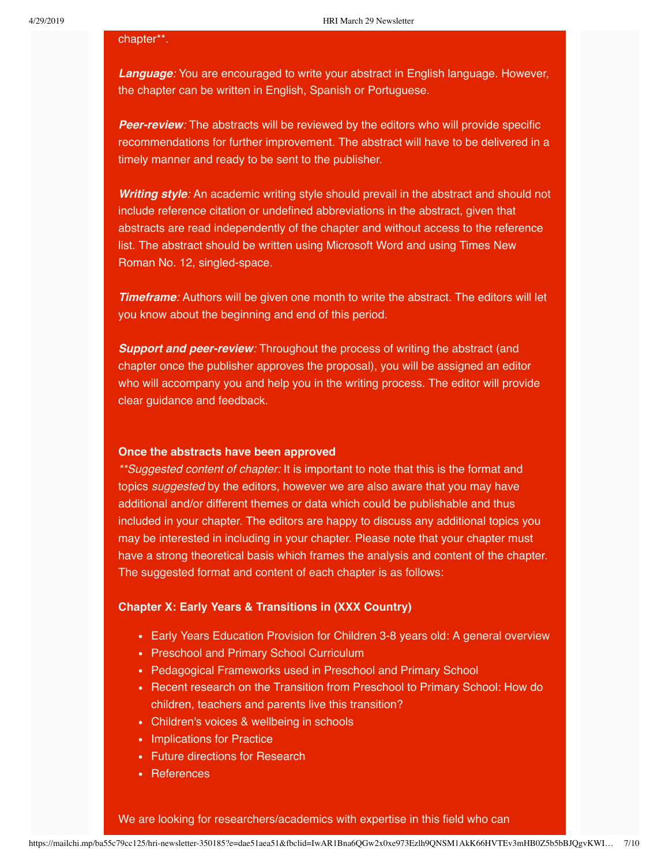#### chapter\*\*.

*Language:* You are encouraged to write your abstract in English language. However, the chapter can be written in English, Spanish or Portuguese.

**Peer-review**: The abstracts will be reviewed by the editors who will provide specific recommendations for further improvement. The abstract will have to be delivered in a timely manner and ready to be sent to the publisher.

*Writing style:* An academic writing style should prevail in the abstract and should not include reference citation or undefined abbreviations in the abstract, given that abstracts are read independently of the chapter and without access to the reference list. The abstract should be written using Microsoft Word and using Times New Roman No. 12, singled-space.

**Timeframe**: Authors will be given one month to write the abstract. The editors will let you know about the beginning and end of this period.

**Support and peer-review**: Throughout the process of writing the abstract (and chapter once the publisher approves the proposal), you will be assigned an editor who will accompany you and help you in the writing process. The editor will provide clear guidance and feedback.

### **Once the abstracts have been approved**

*\*\*Suggested content of chapter:* It is important to note that this is the format and topics *suggested* by the editors, however we are also aware that you may have additional and/or different themes or data which could be publishable and thus included in your chapter. The editors are happy to discuss any additional topics you may be interested in including in your chapter. Please note that your chapter must have a strong theoretical basis which frames the analysis and content of the chapter. The suggested format and content of each chapter is as follows:

## **Chapter X: Early Years & Transitions in (XXX Country)**

- Early Years Education Provision for Children 3-8 years old: A general overview
- Preschool and Primary School Curriculum
- Pedagogical Frameworks used in Preschool and Primary School
- Recent research on the Transition from Preschool to Primary School: How do children, teachers and parents live this transition?
- Children's voices & wellbeing in schools
- Implications for Practice
- Future directions for Research
- References

We are looking for researchers/academics with expertise in this field who can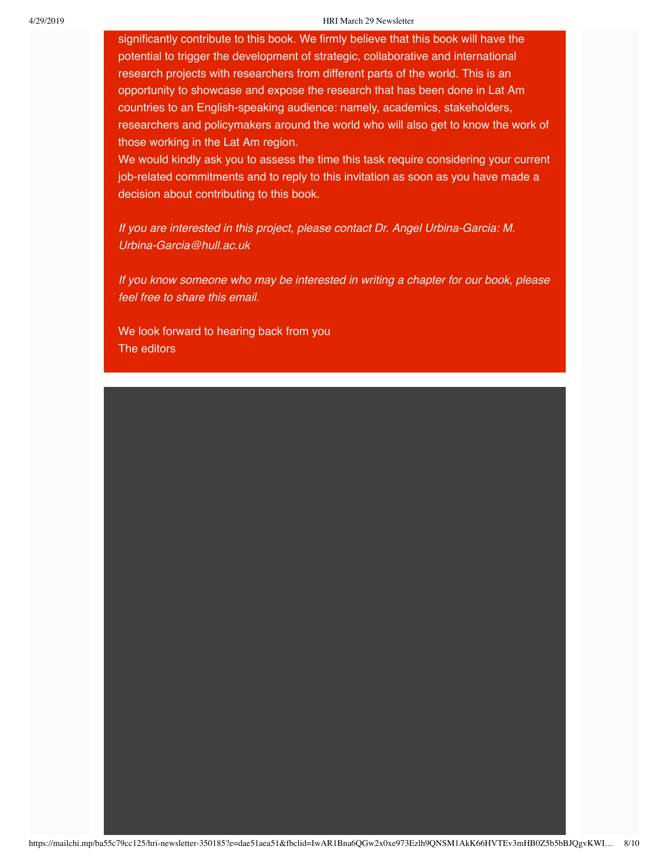significantly contribute to this book. We firmly believe that this book will have the potential to trigger the development of strategic, collaborative and international research projects with researchers from different parts of the world. This is an opportunity to showcase and expose the research that has been done in Lat Am countries to an English-speaking audience: namely, academics, stakeholders, researchers and policymakers around the world who will also get to know the work of those working in the Lat Am region.

We would kindly ask you to assess the time this task require considering your current job-related commitments and to reply to this invitation as soon as you have made a decision about contributing to this book.

*If you are interested in this project, please contact Dr. Angel Urbina-Garcia: M. Urbina-Garcia@hull.ac.uk*

*If you know someone who may be interested in writing a chapter for our book, please feel free to share this email.* 

We look forward to hearing back from you The editors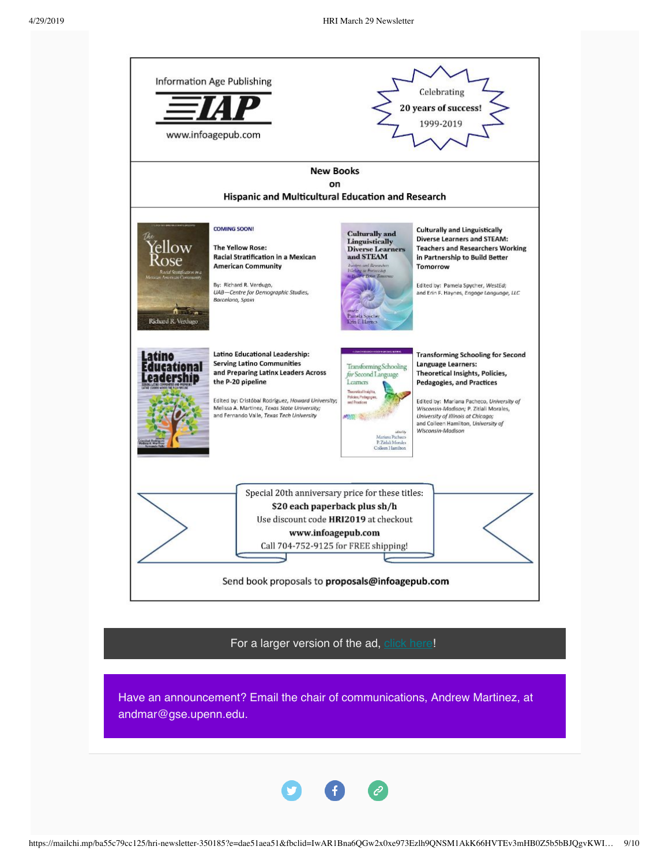

For a larger version of the ad, [click here](https://drive.google.com/file/d/1lAnnYszwTAGShmNrae91m_azm27rdodD/view?usp=sharing)!

Have an announcement? Email the chair of communications, Andrew Martinez, at andmar@gse.upenn.edu.